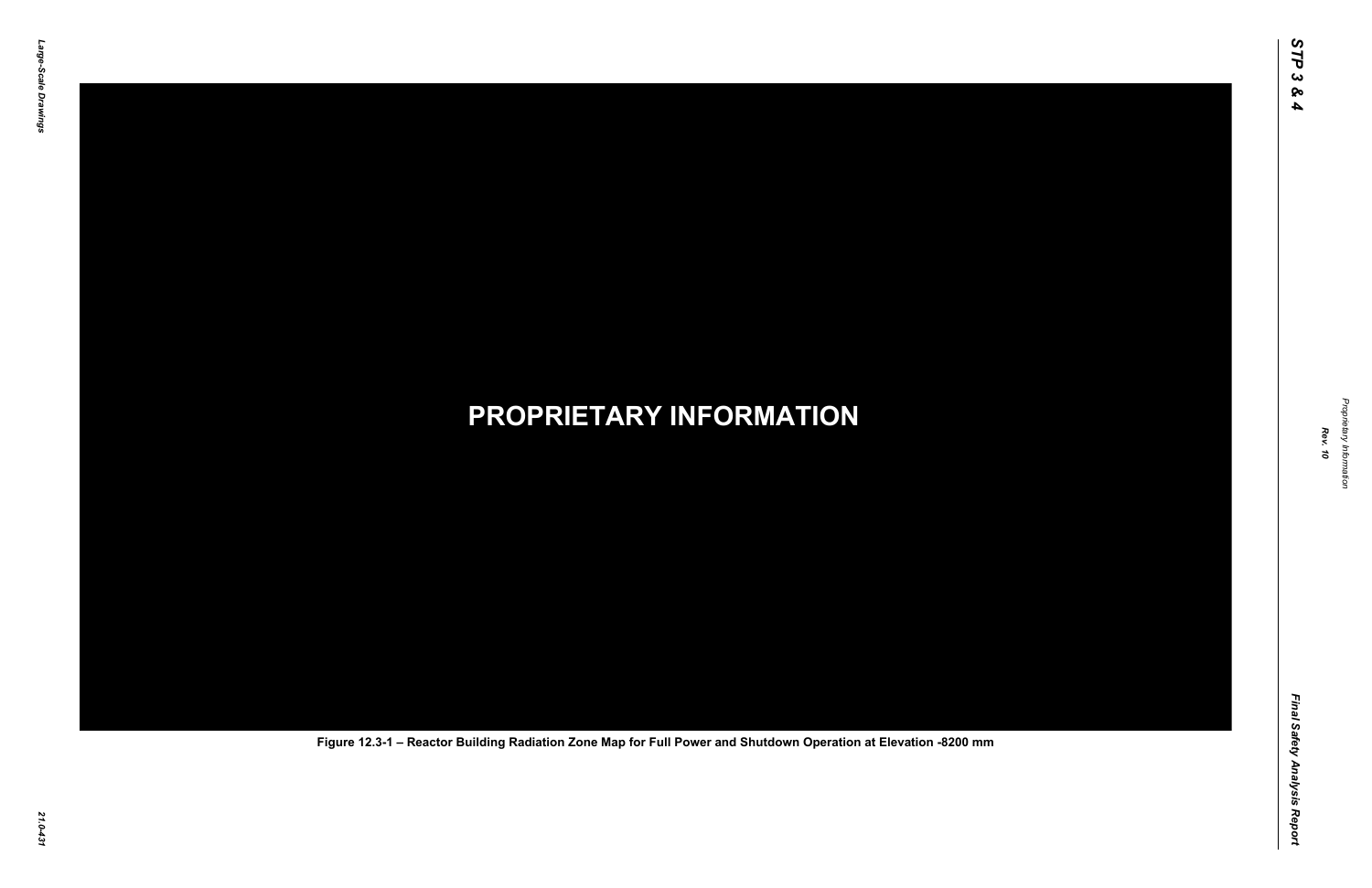Final Safety Analysis Report *Final Safety Analysis Report*

*Proprietary Information* ietary Information



## *21.0-431* **PROPRIETARY INFORMATION Figure 12.3-1 – Reactor Building Radiation Zone Map for Full Power and Shutdown Operation at Elevation -8200 mm**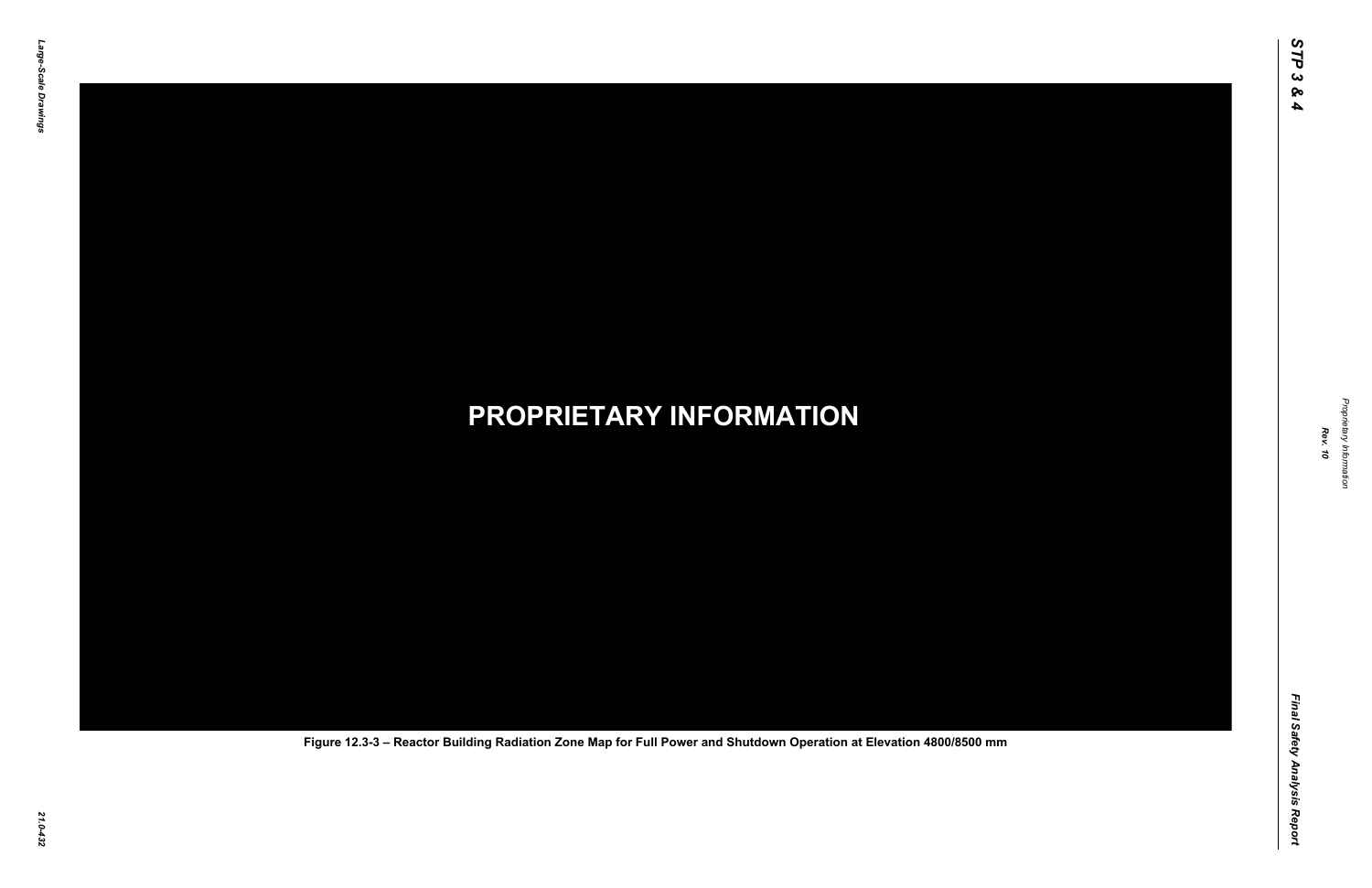Final Safety Analysis Report *Final Safety Analysis Report*



*21.0-432* **PROPRIETARY INFORMATION Figure 12.3-3 – Reactor Building Radiation Zone Map for Full Power and Shutdown Operation at Elevation 4800/8500 mm**

Propr *Proprietary Information* ietary Information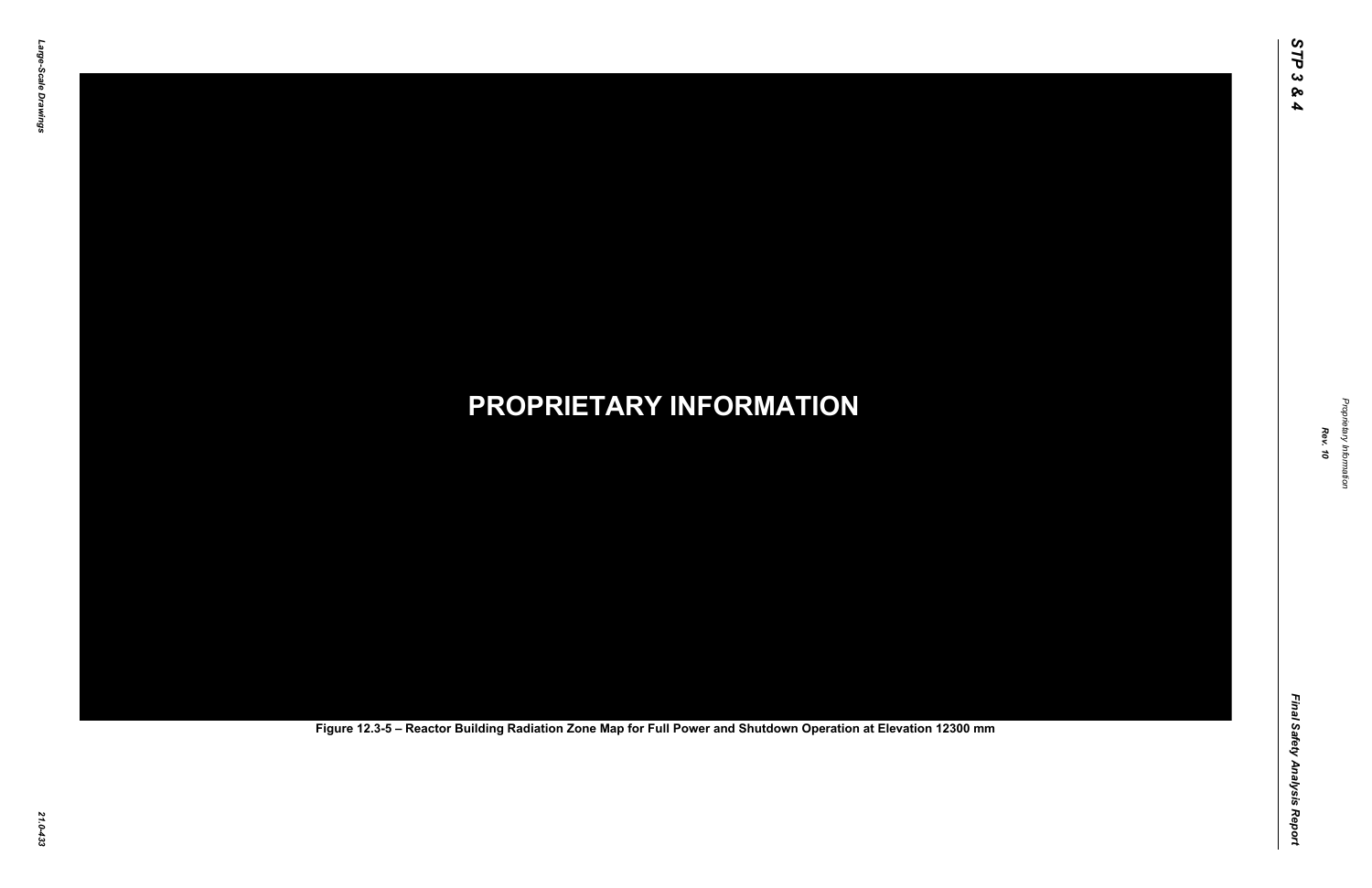Final Safety Analysis Report *Final Safety Analysis Report*



Proprietary Information *Proprietary Information*

# *21.0-433* **PROPRIETARY INFORMATION Figure 12.3-5 – Reactor Building Radiation Zone Map for Full Power and Shutdown Operation at Elevation 12300 mm**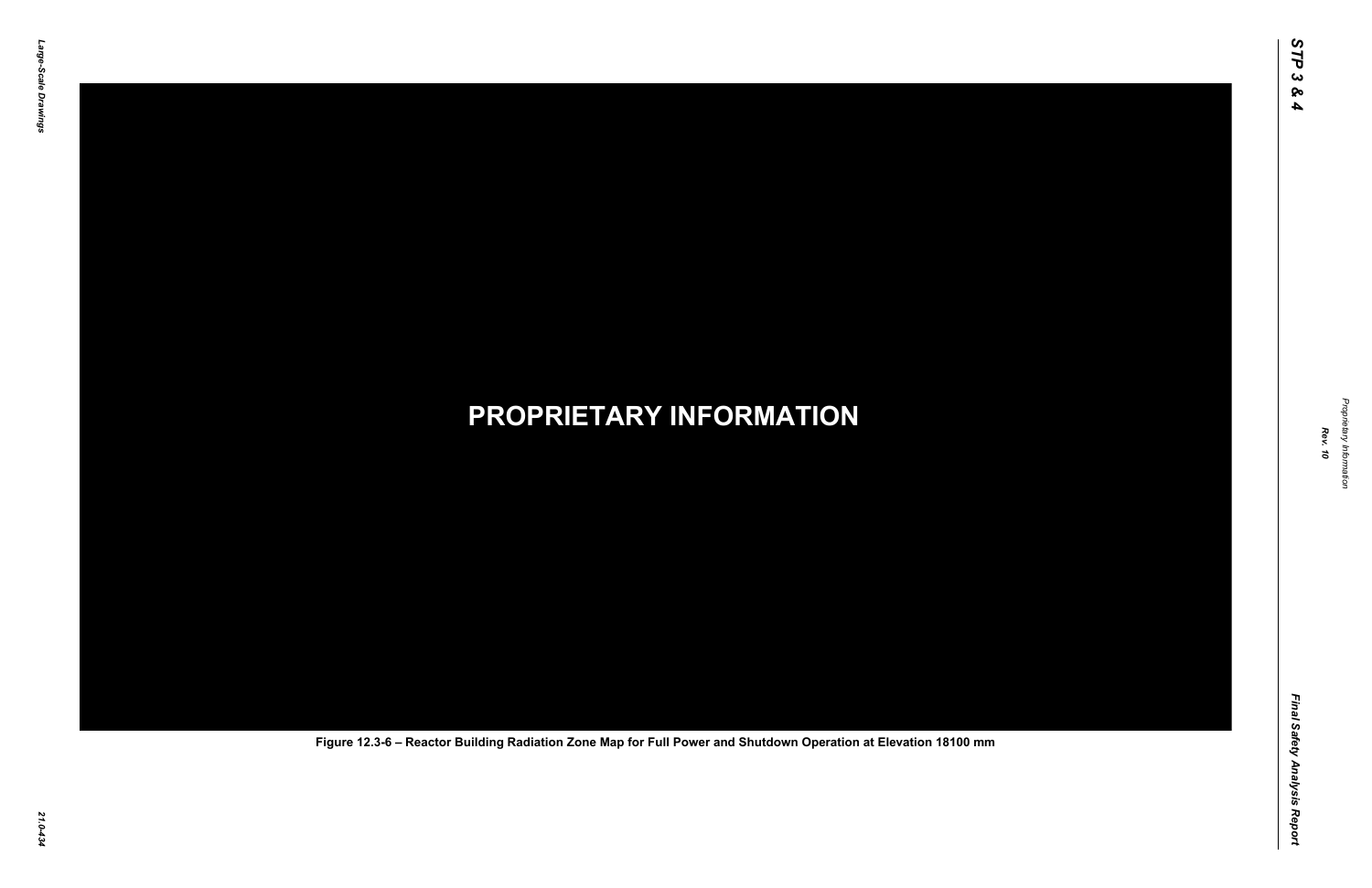Final Safety Analysis Report *Final Safety Analysis Report*

*Proprietary Information* Proprietary Information



## *21.0-434* **PROPRIETARY INFORMATION Figure 12.3-6 – Reactor Building Radiation Zone Map for Full Power and Shutdown Operation at Elevation 18100 mm**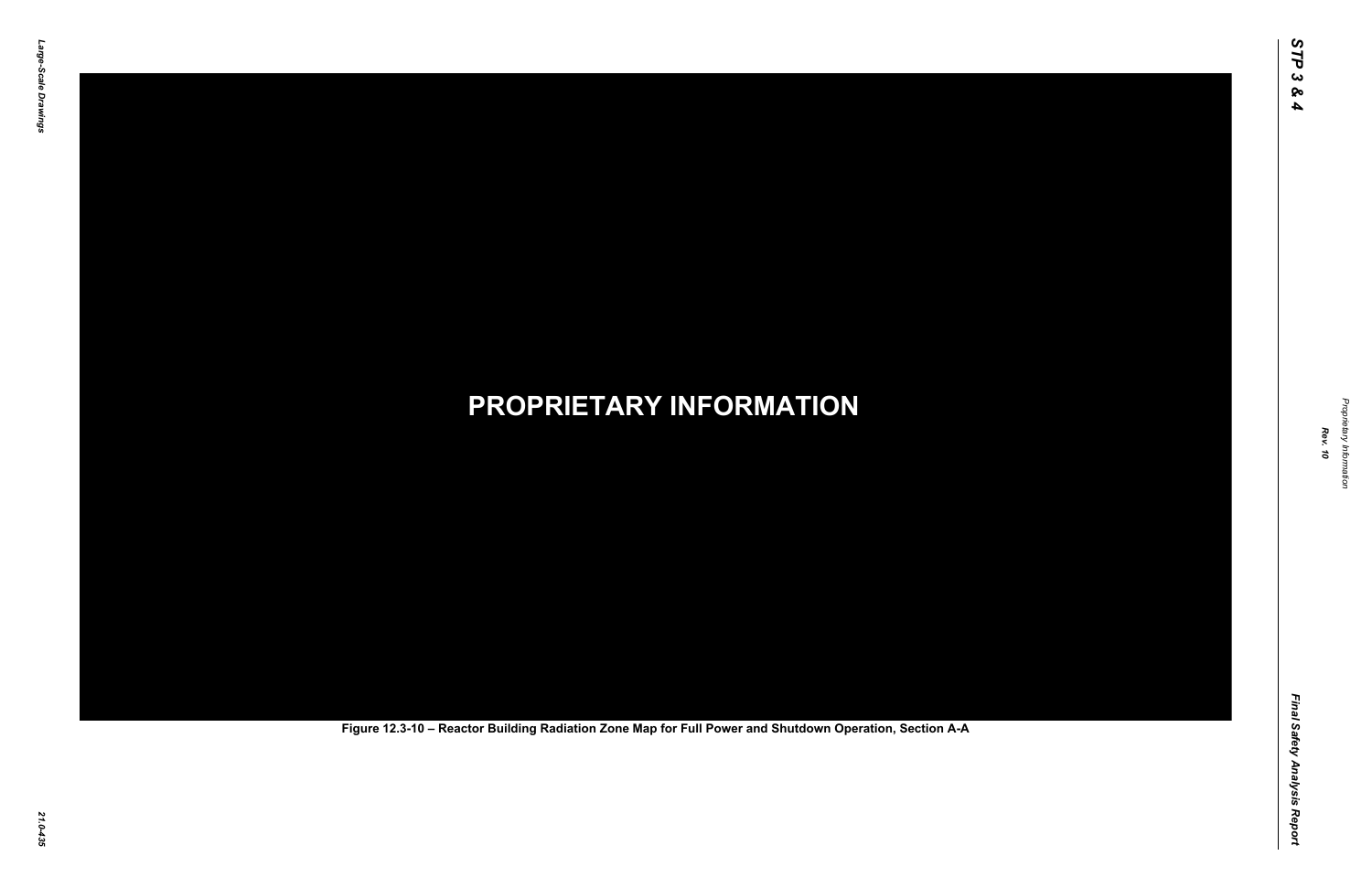Final Safety Analysis Report *Final Safety Analysis Report*



Proprietary Information *Proprietary Information*

# *21.0-435* **PROPRIETARY INFORMATION Figure 12.3-10 – Reactor Building Radiation Zone Map for Full Power and Shutdown Operation, Section A-A**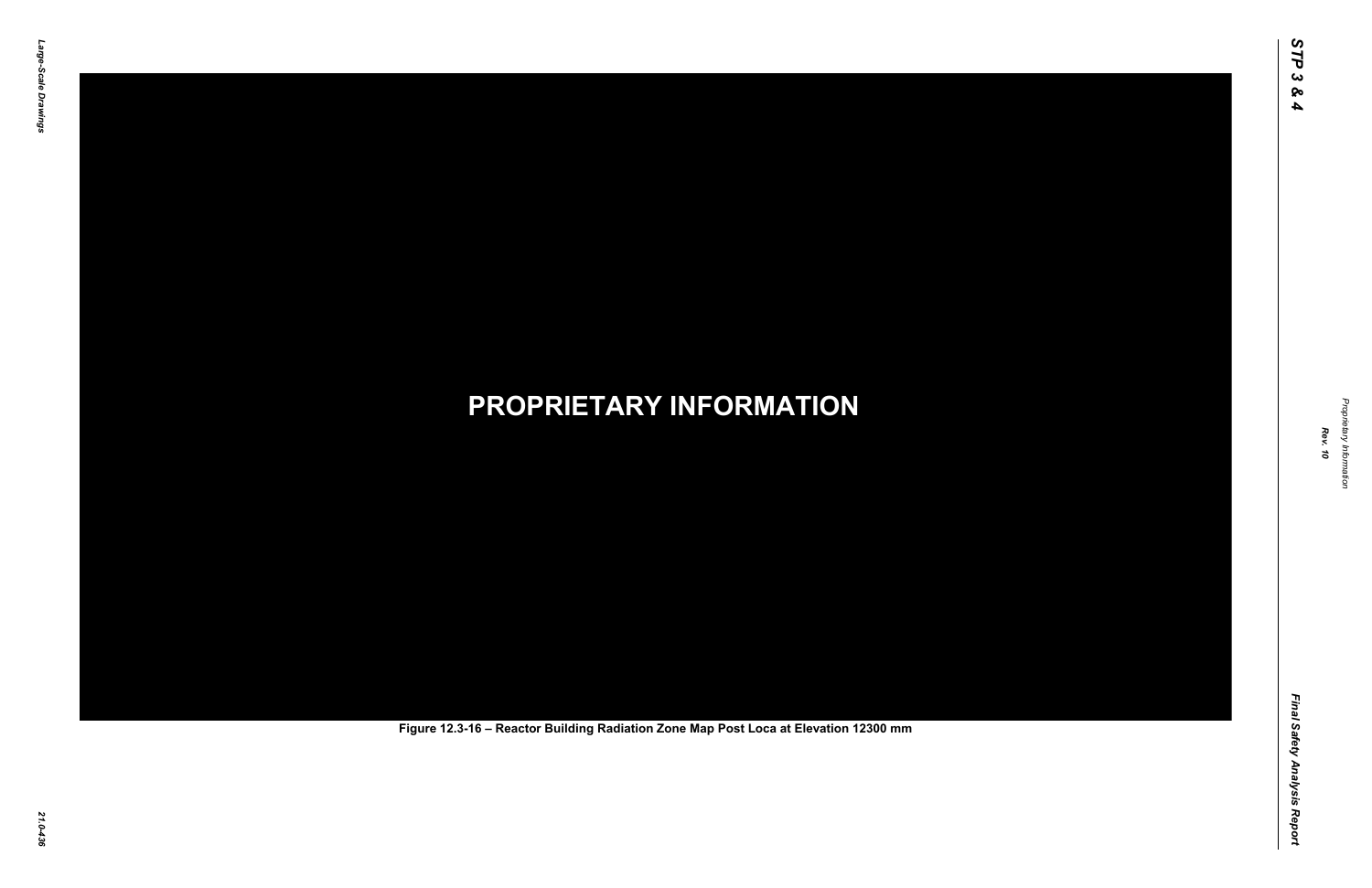Final Safety Analysis Report *Final Safety Analysis Report*



Proprietary Information *Proprietary Information*

# *21.0-436* **PROPRIETARY INFORMATION Figure 12.3-16 – Reactor Building Radiation Zone Map Post Loca at Elevation 12300 mm**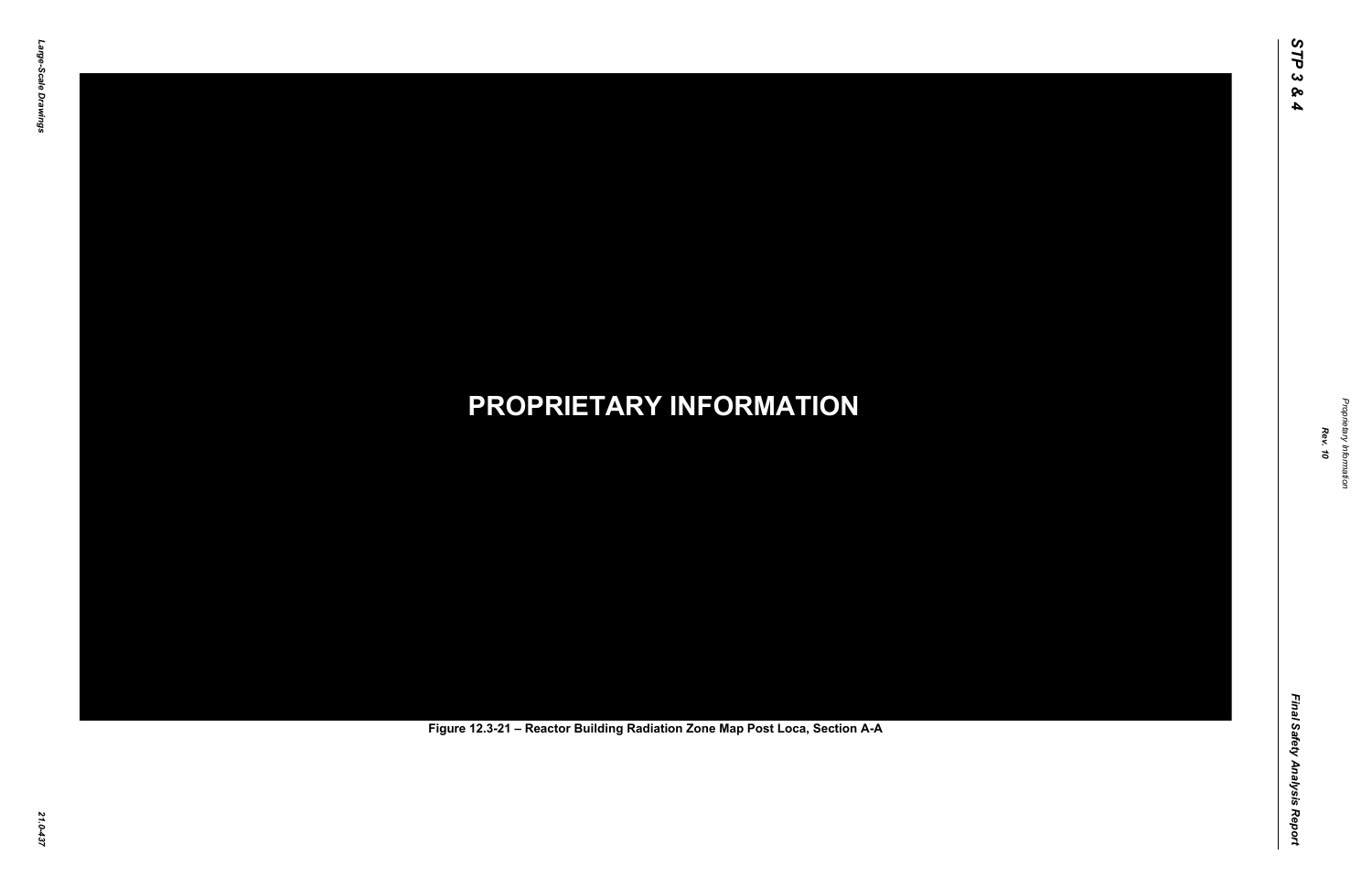Final Safety Analysis Report *Final Safety Analysis Report*



Proprietary Information *Proprietary Information*

# *21.0-437* **PROPRIETARY INFORMATION Figure 12.3-21 – Reactor Building Radiation Zone Map Post Loca, Section A-A**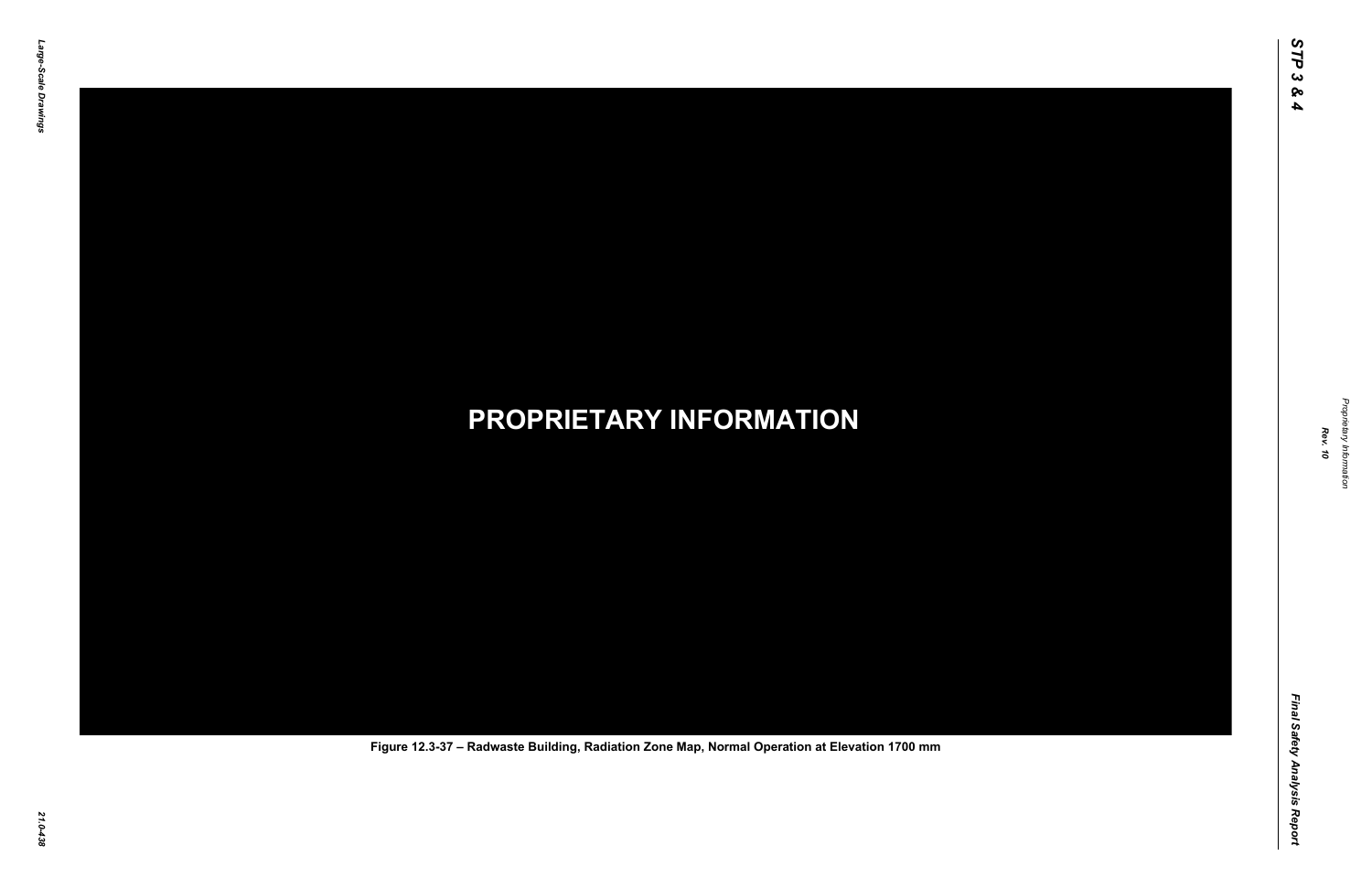Final Safety Analysis Report *Final Safety Analysis Report*



Proprietary Information *Proprietary Information*

## *21.0-438* **PROPRIETARY INFORMATION Figure 12.3-37 – Radwaste Building, Radiation Zone Map, Normal Operation at Elevation 1700 mm**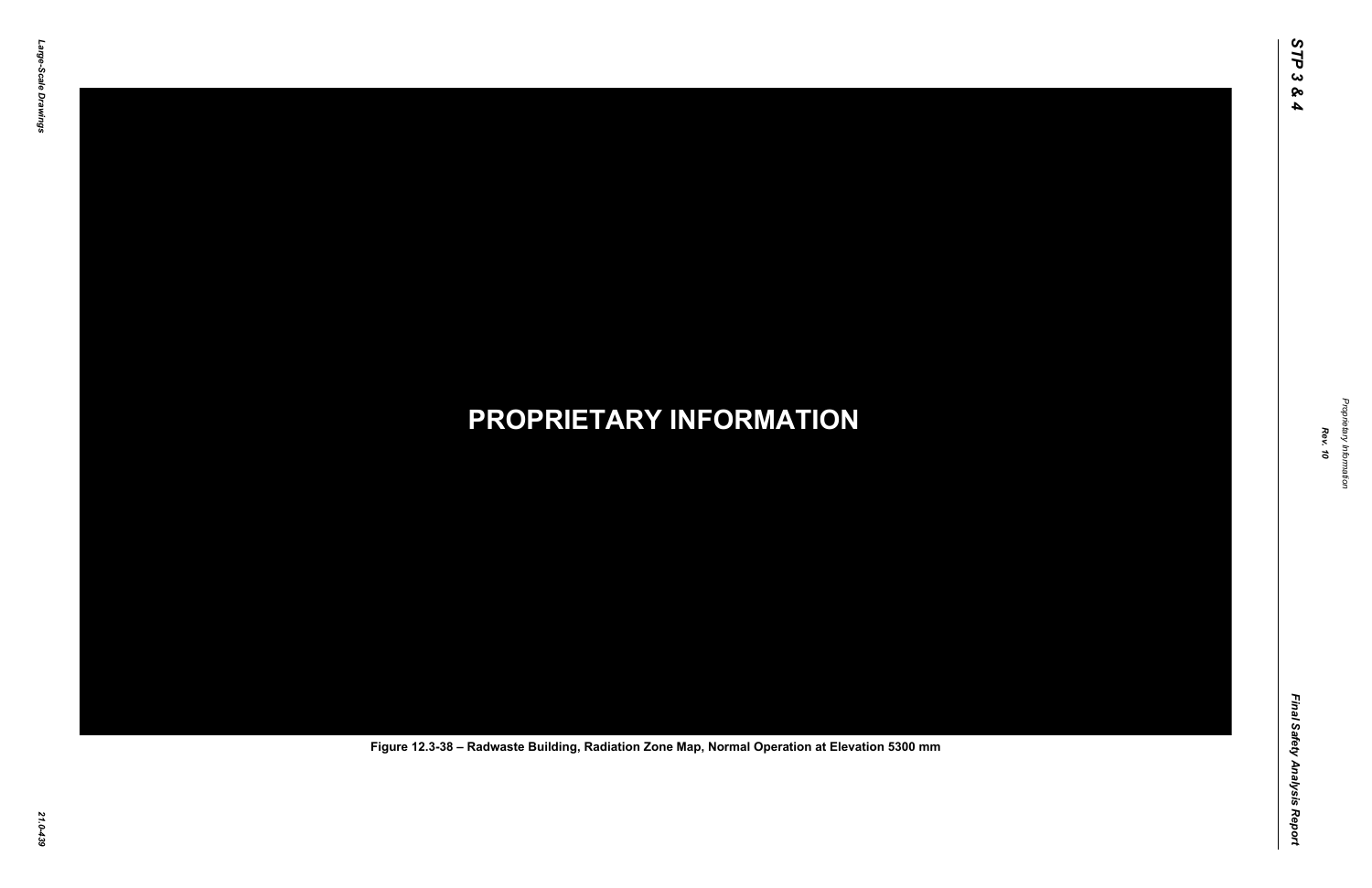Final Safety Analysis Report *Final Safety Analysis Report*



Proprietary Information *Proprietary Information*

## *21.0-439* **PROPRIETARY INFORMATION Figure 12.3-38 – Radwaste Building, Radiation Zone Map, Normal Operation at Elevation 5300 mm**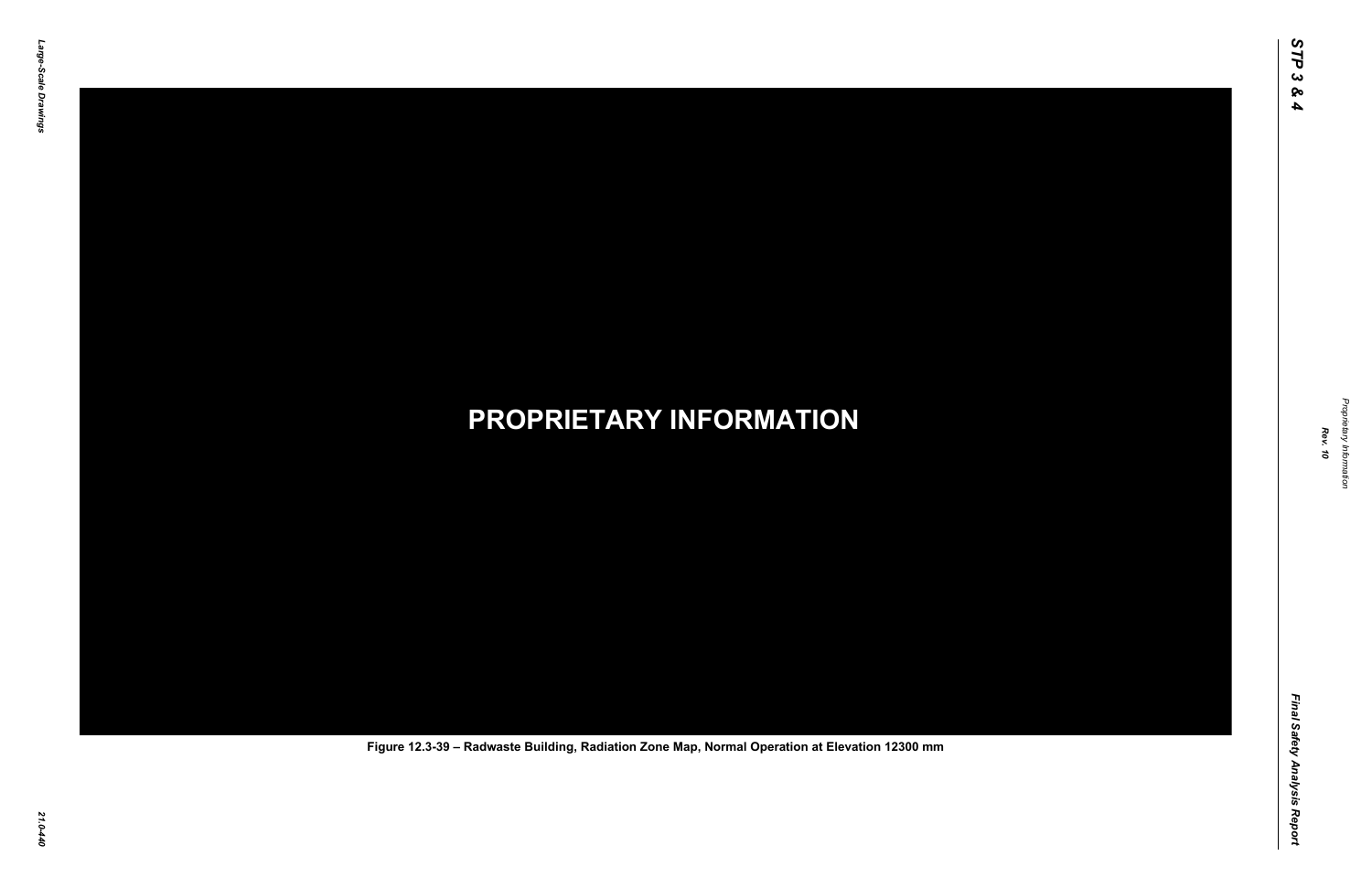Final Safety Analysis Report *Final Safety Analysis Report*



Proprietary Information *Proprietary Information*

## *21.0-440* **PROPRIETARY INFORMATION Figure 12.3-39 – Radwaste Building, Radiation Zone Map, Normal Operation at Elevation 12300 mm**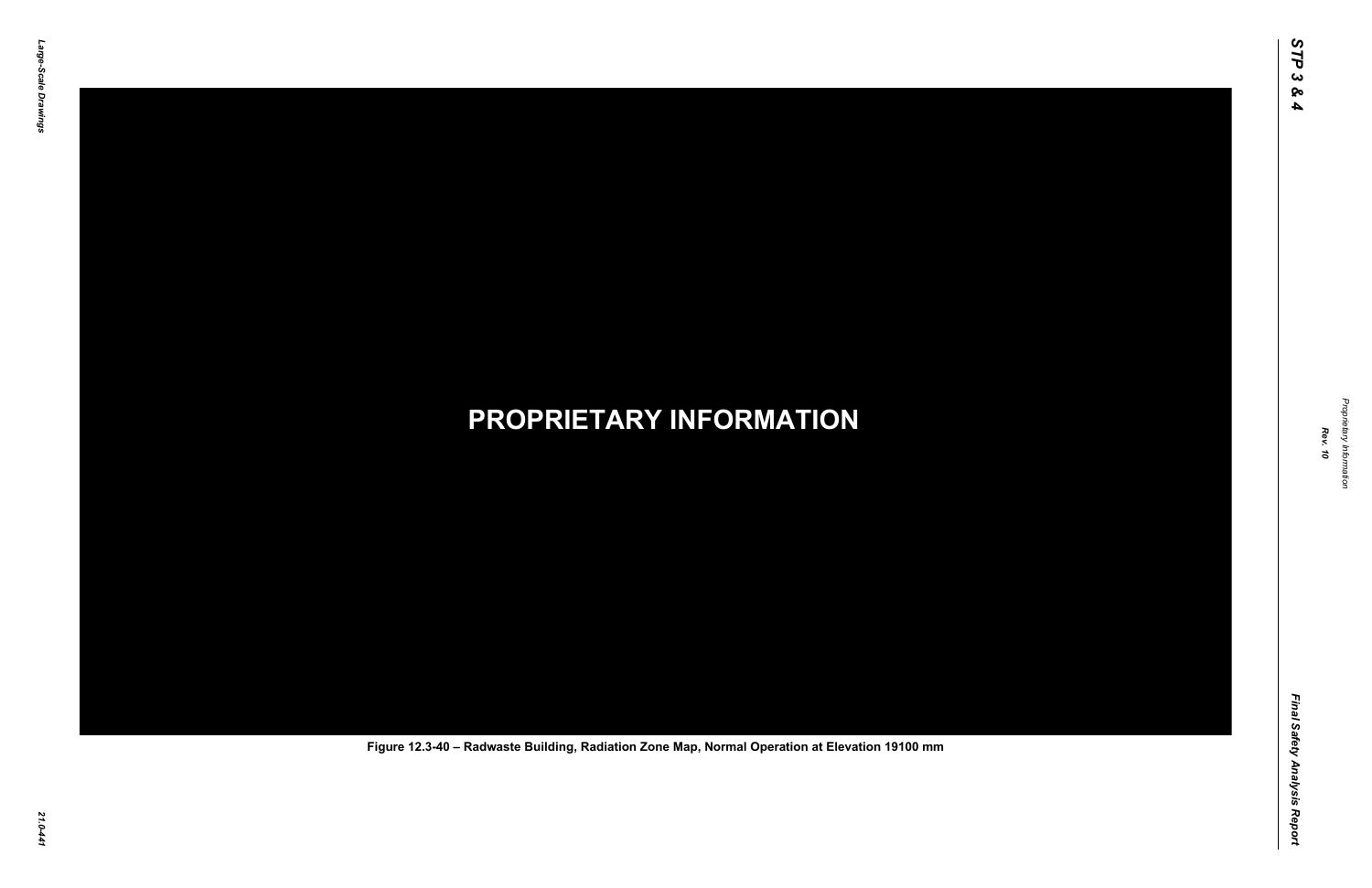Final Safety Analysis Report *Final Safety Analysis Report*



Proprietary Information *Proprietary Information*

## *21.0-441* **PROPRIETARY INFORMATION Figure 12.3-40 – Radwaste Building, Radiation Zone Map, Normal Operation at Elevation 19100 mm**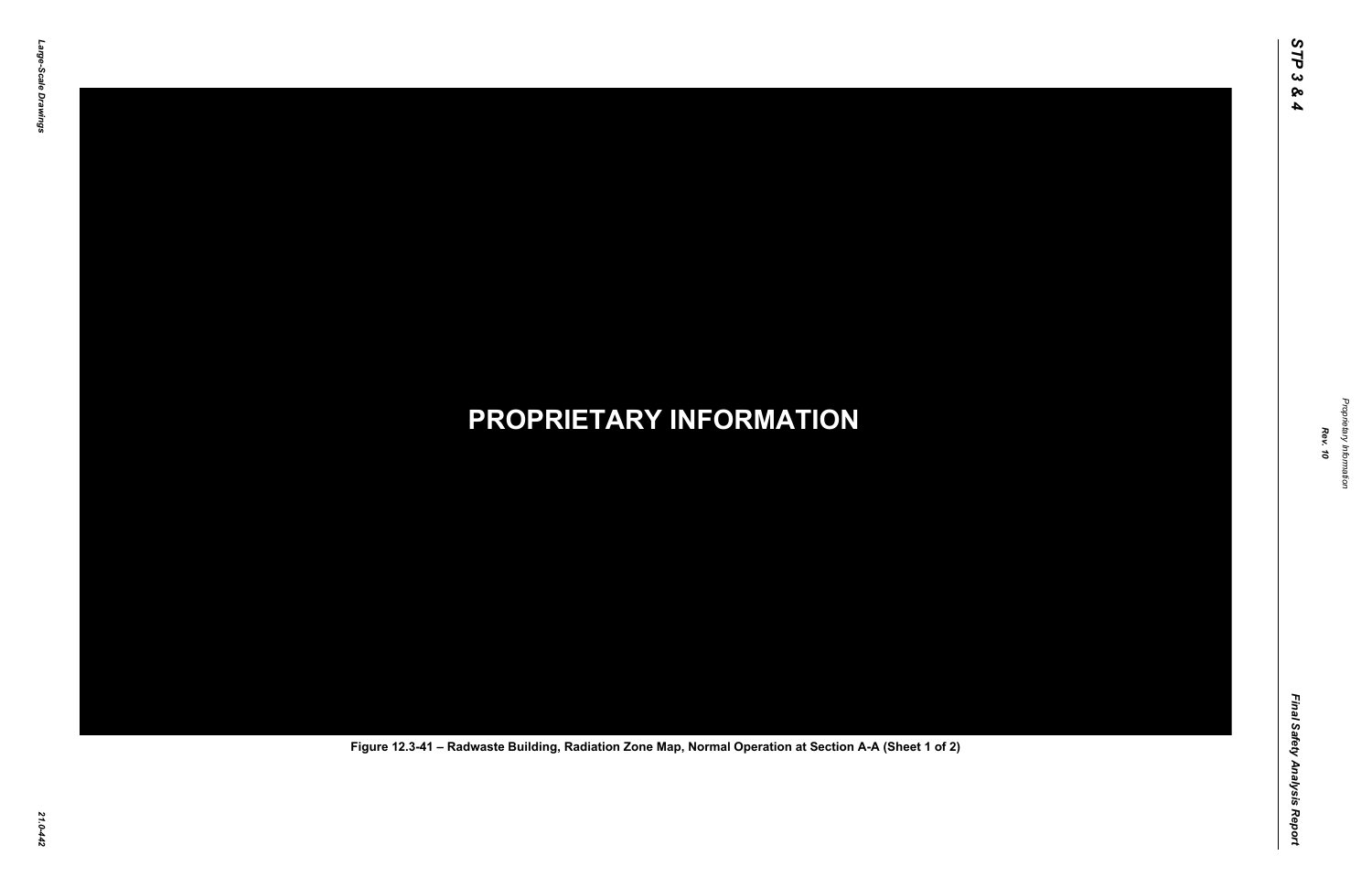Final Safety Analysis Report *Final Safety Analysis Report*



Proprietary Information *Proprietary Information*

## *21.0-442* **PROPRIETARY INFORMATION Figure 12.3-41 – Radwaste Building, Radiation Zone Map, Normal Operation at Section A-A (Sheet 1 of 2)**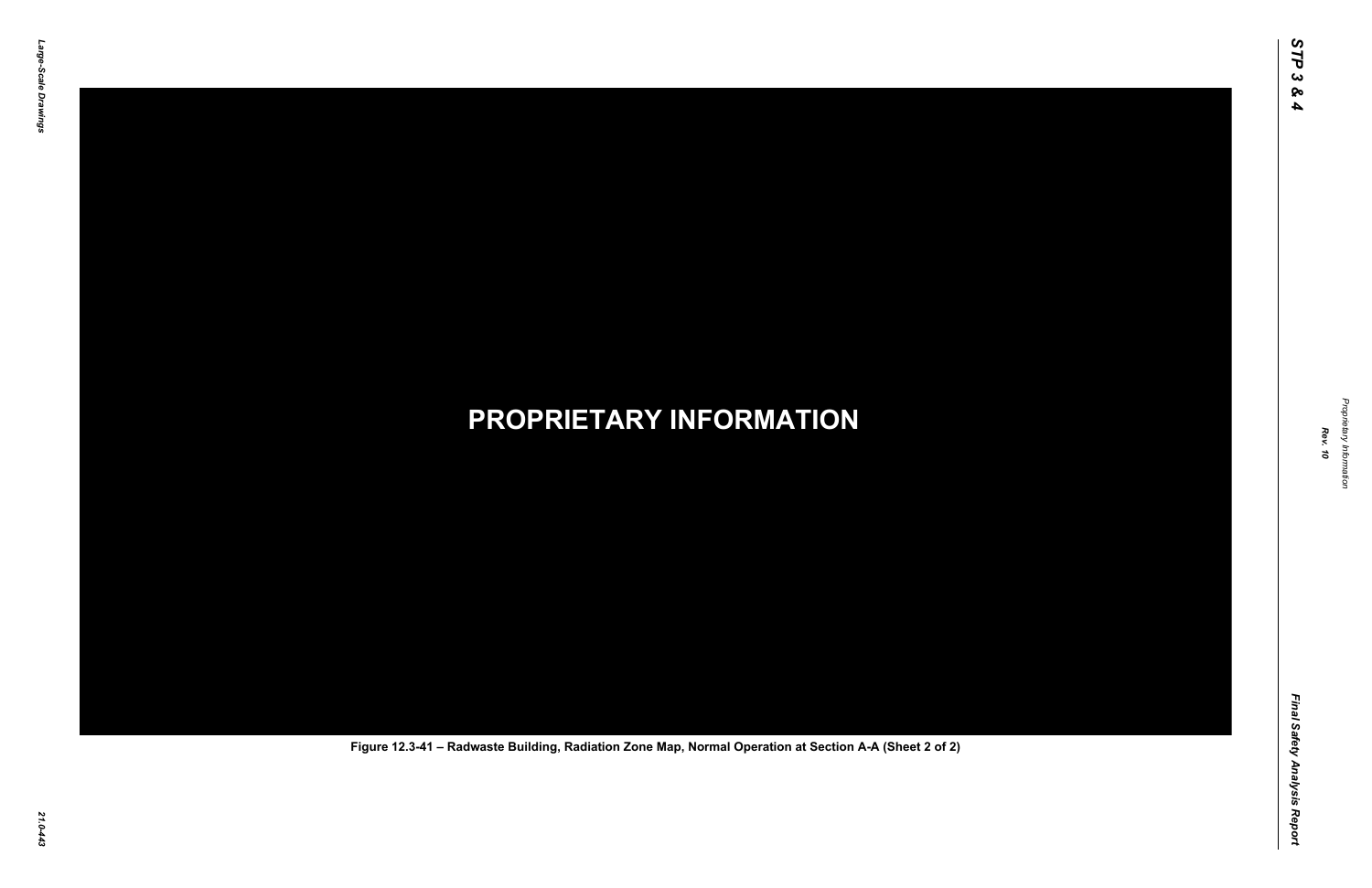Final Safety Analysis Report *Final Safety Analysis Report*



Proprietary Information *Proprietary Information*

## *21.0-443* **PROPRIETARY INFORMATION Figure 12.3-41 – Radwaste Building, Radiation Zone Map, Normal Operation at Section A-A (Sheet 2 of 2)**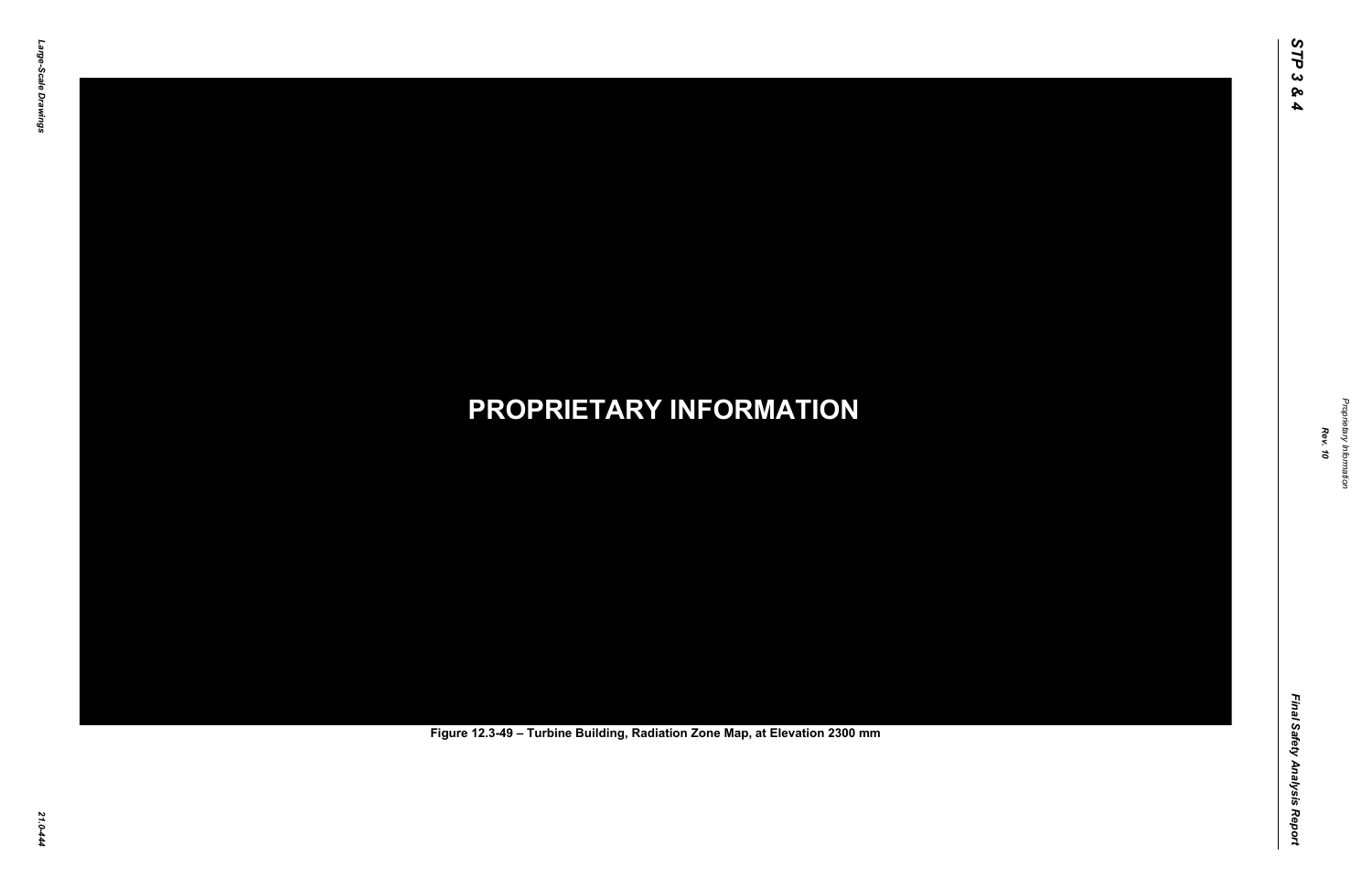Final Safety Analysis Report *Final Safety Analysis Report*



Proprietary Information *Proprietary Information*

# *21.0-444* **PROPRIETARY INFORMATION Figure 12.3-49 – Turbine Building, Radiation Zone Map, at Elevation 2300 mm**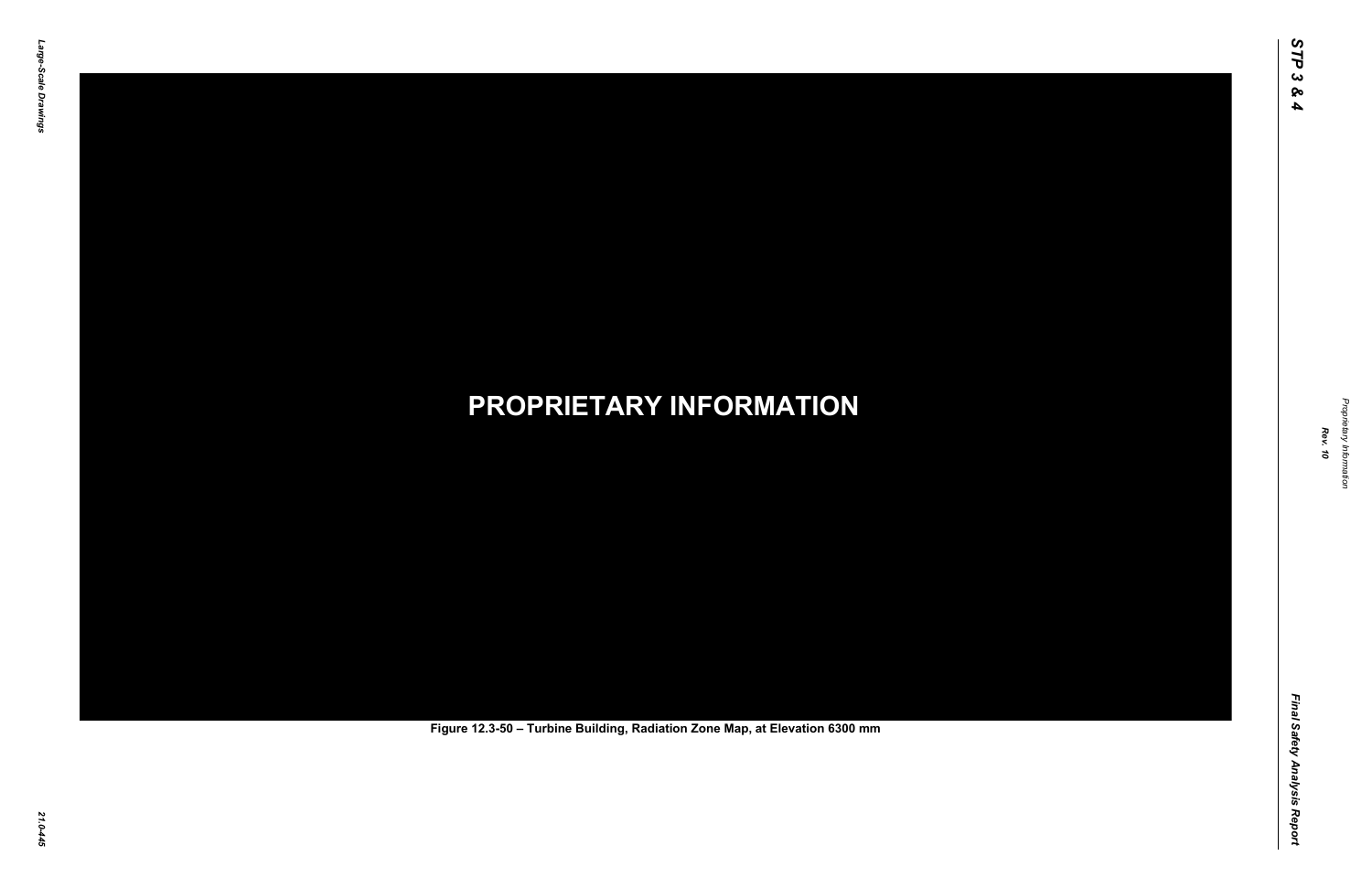Final Safety Analysis Report *Final Safety Analysis Report*



Proprietary Information *Proprietary Information*

# *21.0-445* **PROPRIETARY INFORMATION Figure 12.3-50 – Turbine Building, Radiation Zone Map, at Elevation 6300 mm**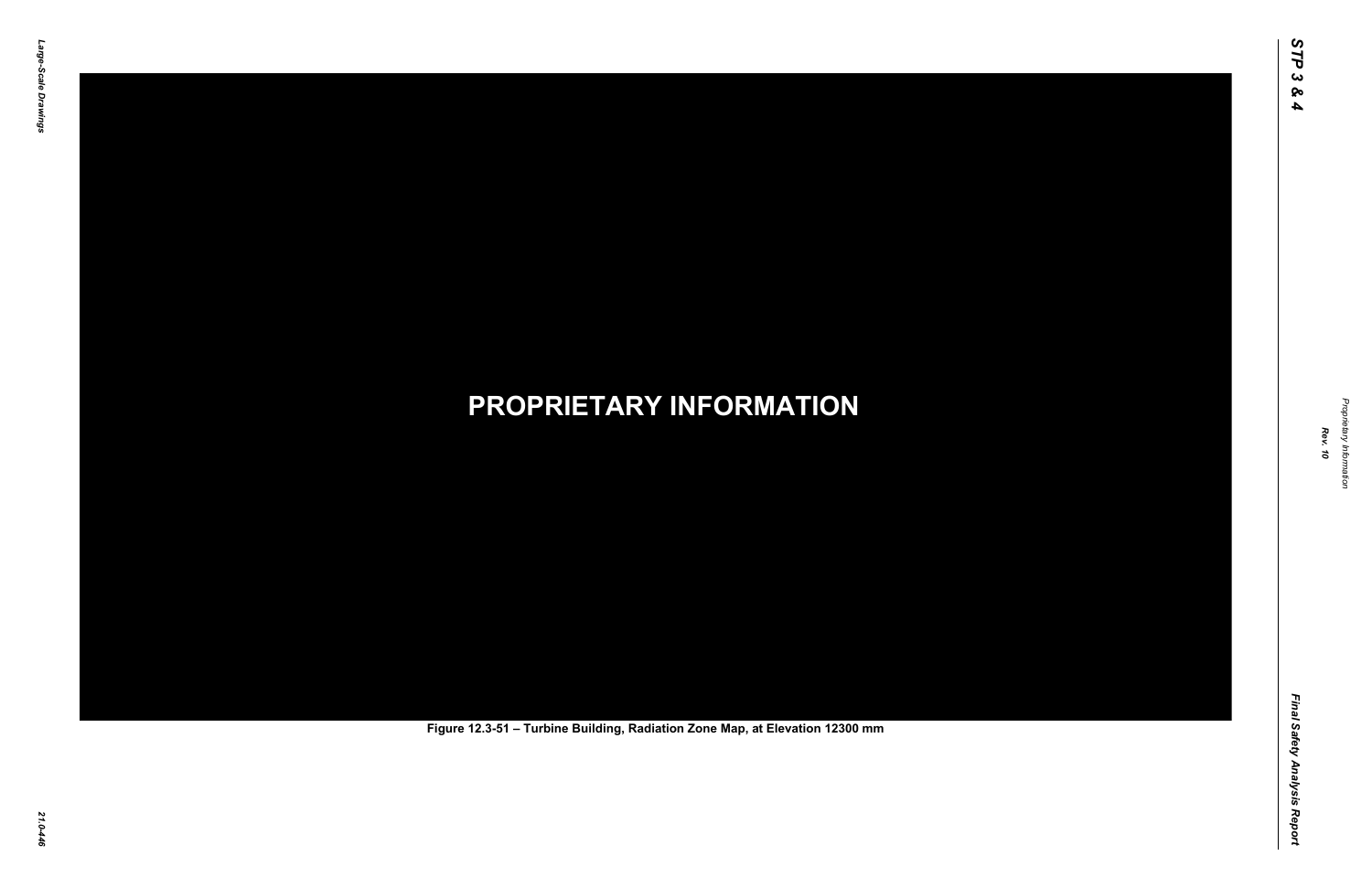Final Safety Analysis Report *Final Safety Analysis Report*



Proprietary Information *Proprietary Information*

# *21.0-446* **PROPRIETARY INFORMATION Figure 12.3-51 – Turbine Building, Radiation Zone Map, at Elevation 12300 mm**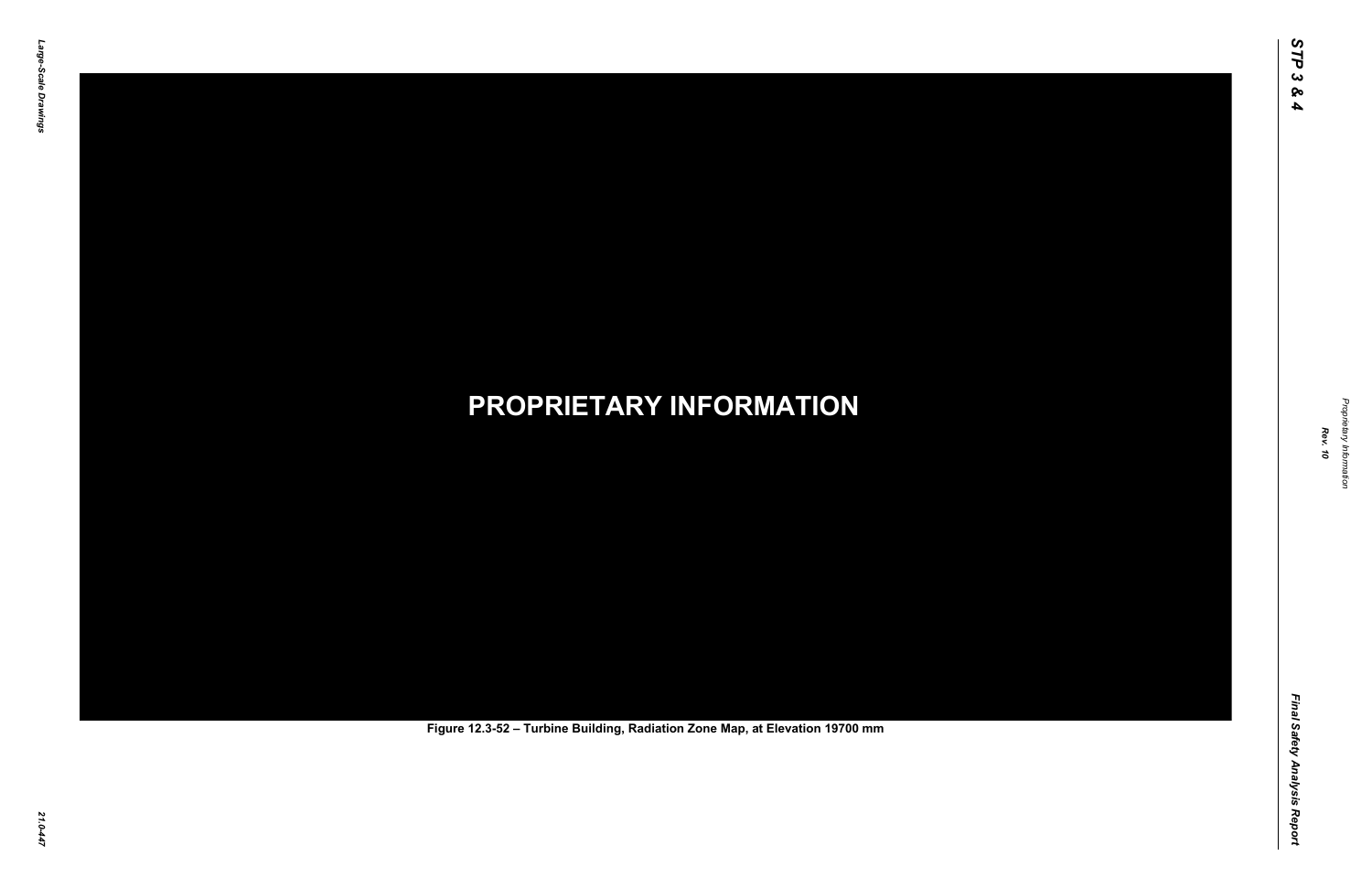Final Safety Analysis Report *Final Safety Analysis Report*



Proprietary Information *Proprietary Information*

# *21.0-447* **PROPRIETARY INFORMATION Figure 12.3-52 – Turbine Building, Radiation Zone Map, at Elevation 19700 mm**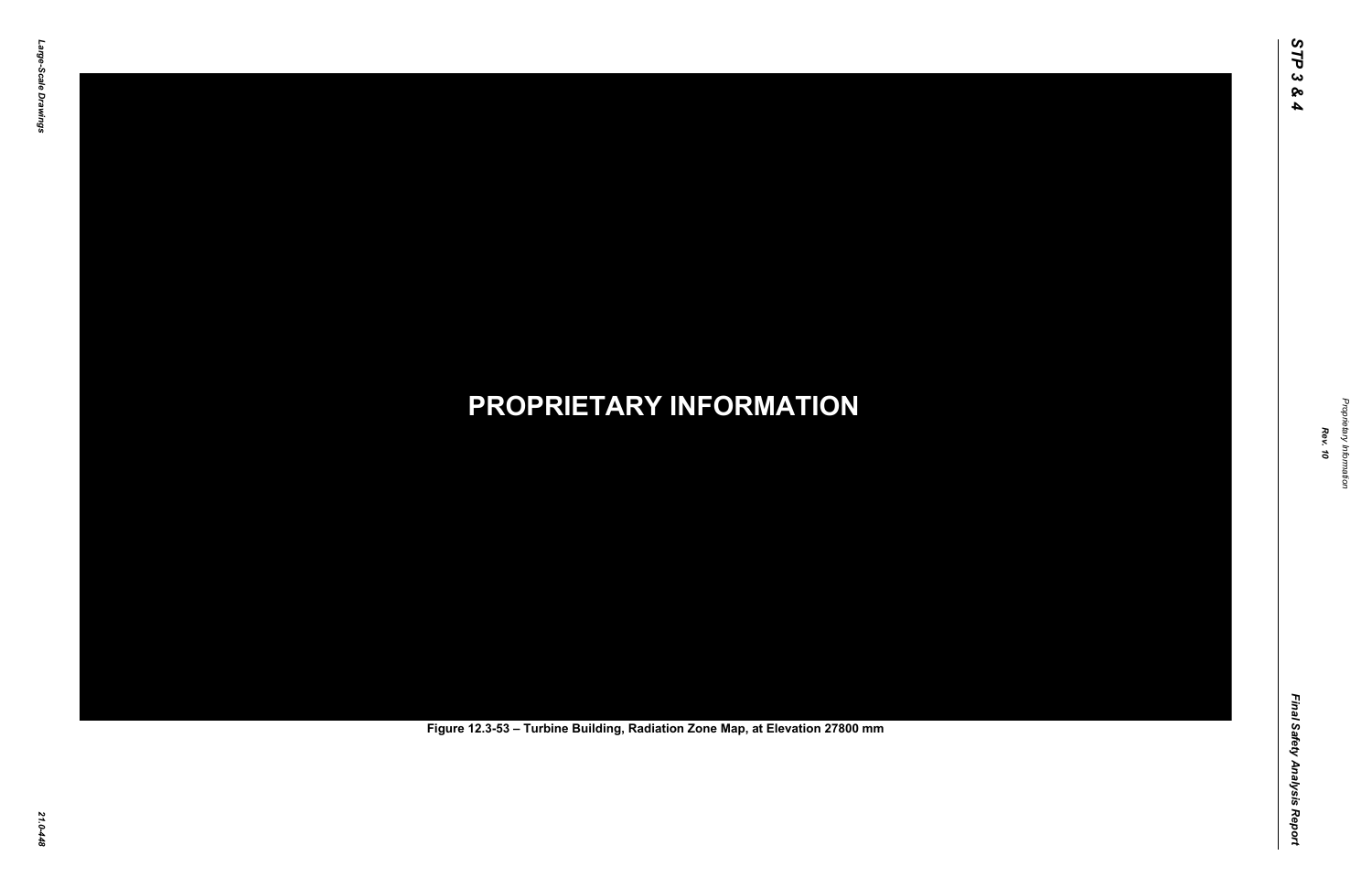Final Safety Analysis Report *Final Safety Analysis Report*



Proprietary Information *Proprietary Information*

# *21.0-448* **PROPRIETARY INFORMATION Figure 12.3-53 – Turbine Building, Radiation Zone Map, at Elevation 27800 mm**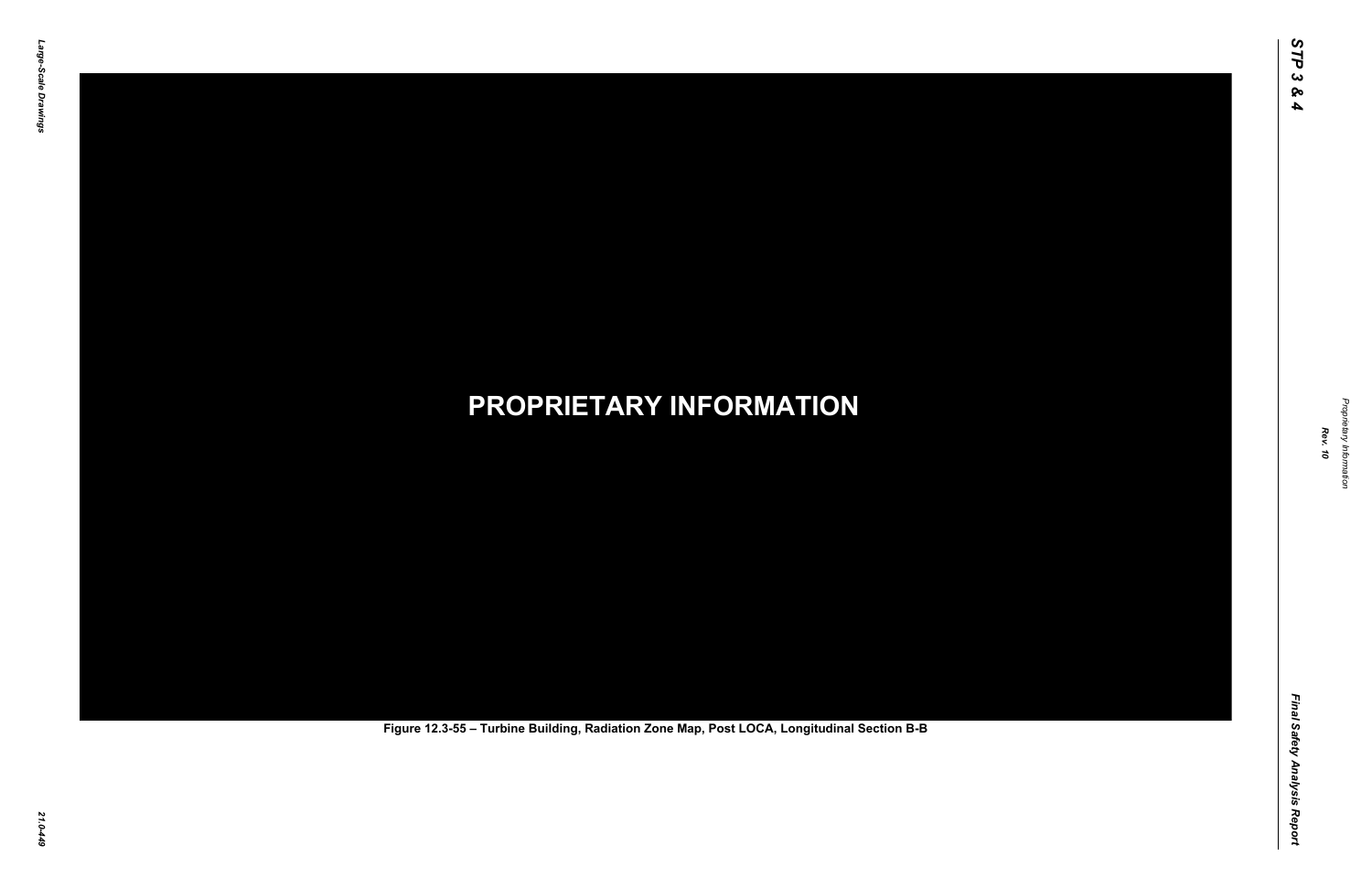Final Safety Analysis Report *Final Safety Analysis Report*



Proprietary Information *Proprietary Information*

# *21.0-449* **PROPRIETARY INFORMATION Figure 12.3-55 – Turbine Building, Radiation Zone Map, Post LOCA, Longitudinal Section B-B**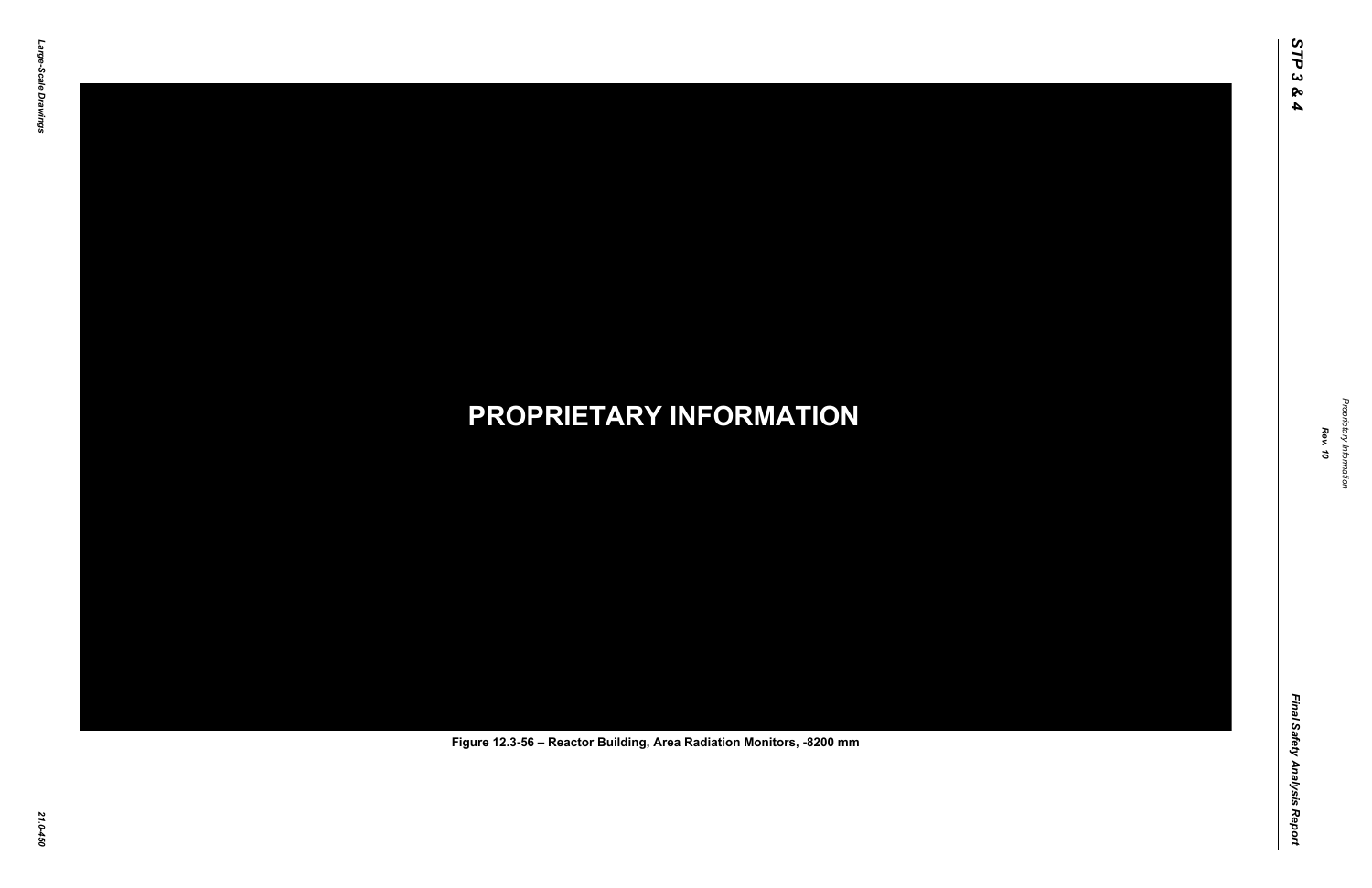Final Safety Analysis Report *Final Safety Analysis Report*



Proprietary Information *Proprietary Information*

## *21.0-450* **PROPRIETARY INFORMATION Figure 12.3-56 – Reactor Building, Area Radiation Monitors, -8200 mm**